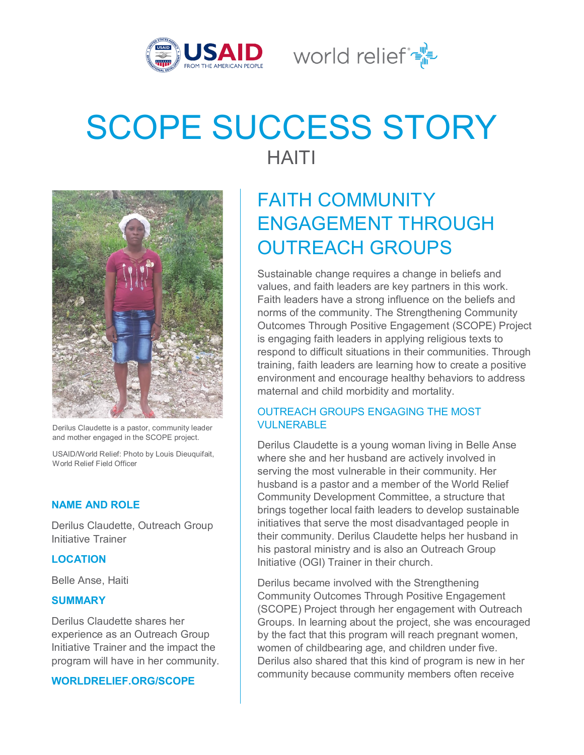

World relief  $\mathbb{R}^{\mathbb{N}}$ 

# SCOPE SUCCESS STORY HAITI



Derilus Claudette is a pastor, community leader and mother engaged in the SCOPE project.

USAID/World Relief: Photo by Louis Dieuquifait, World Relief Field Officer

# **NAME AND ROLE**

Derilus Claudette, Outreach Group Initiative Trainer

#### **LOCATION**

Belle Anse, Haiti

#### **SUMMARY**

Derilus Claudette shares her experience as an Outreach Group Initiative Trainer and the impact the program will have in her community.

#### **WORLDRELIEF.ORG/SCOPE**

# FAITH COMMUNITY ENGAGEMENT THROUGH OUTREACH GROUPS

Sustainable change requires a change in beliefs and values, and faith leaders are key partners in this work. Faith leaders have a strong influence on the beliefs and norms of the community. The Strengthening Community Outcomes Through Positive Engagement (SCOPE) Project is engaging faith leaders in applying religious texts to respond to difficult situations in their communities. Through training, faith leaders are learning how to create a positive environment and encourage healthy behaviors to address maternal and child morbidity and mortality.

# OUTREACH GROUPS ENGAGING THE MOST VULNERABLE

Derilus Claudette is a young woman living in Belle Anse where she and her husband are actively involved in serving the most vulnerable in their community. Her husband is a pastor and a member of the World Relief Community Development Committee, a structure that brings together local faith leaders to develop sustainable initiatives that serve the most disadvantaged people in their community. Derilus Claudette helps her husband in his pastoral ministry and is also an Outreach Group Initiative (OGI) Trainer in their church.

Derilus became involved with the Strengthening Community Outcomes Through Positive Engagement (SCOPE) Project through her engagement with Outreach Groups. In learning about the project, she was encouraged by the fact that this program will reach pregnant women, women of childbearing age, and children under five. Derilus also shared that this kind of program is new in her community because community members often receive